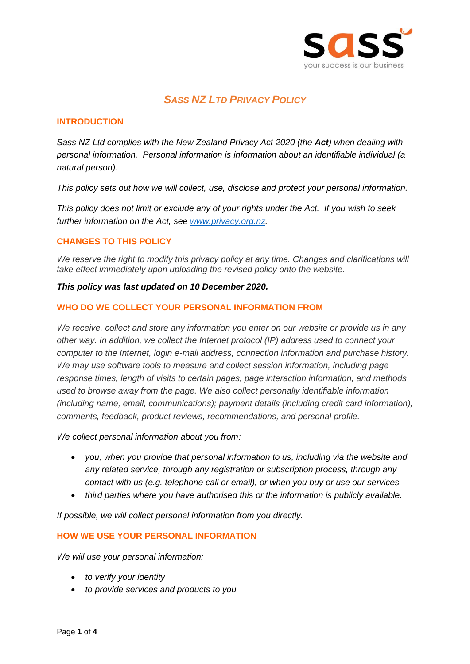

# *SASS NZ LTD PRIVACY POLICY*

## **INTRODUCTION**

*Sass NZ Ltd complies with the New Zealand Privacy Act 2020 (the Act) when dealing with personal information. Personal information is information about an identifiable individual (a natural person).*

*This policy sets out how we will collect, use, disclose and protect your personal information.*

*This policy does not limit or exclude any of your rights under the Act. If you wish to seek further information on the Act, see [www.privacy.org.nz.](http://www.privacy.org.nz/)*

## **CHANGES TO THIS POLICY**

We reserve the right to modify this privacy policy at any time. Changes and clarifications will *take effect immediately upon uploading the revised policy onto the website.*

#### *This policy was last updated on 10 December 2020.*

#### **WHO DO WE COLLECT YOUR PERSONAL INFORMATION FROM**

*We receive, collect and store any information you enter on our website or provide us in any other way. In addition, we collect the Internet protocol (IP) address used to connect your computer to the Internet, login e-mail address, connection information and purchase history. We may use software tools to measure and collect session information, including page response times, length of visits to certain pages, page interaction information, and methods used to browse away from the page. We also collect personally identifiable information (including name, email, communications); payment details (including credit card information), comments, feedback, product reviews, recommendations, and personal profile.*

*We collect personal information about you from:*

- *you, when you provide that personal information to us, including via the website and any related service, through any registration or subscription process, through any contact with us (e.g. telephone call or email), or when you buy or use our services*
- *third parties where you have authorised this or the information is publicly available.*

*If possible, we will collect personal information from you directly.* 

### **HOW WE USE YOUR PERSONAL INFORMATION**

*We will use your personal information:* 

- *to verify your identity*
- *to provide services and products to you*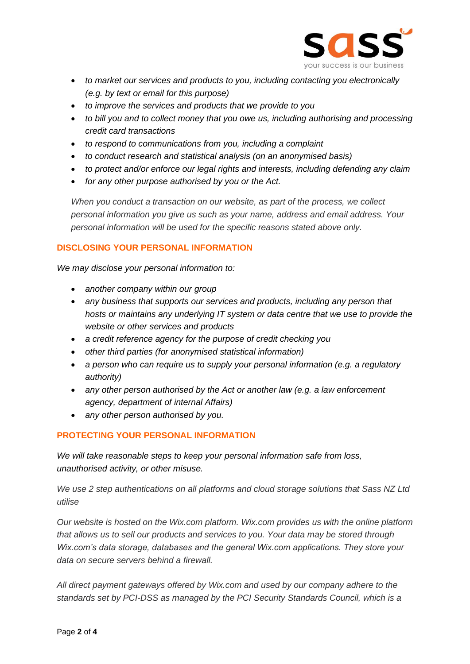

- *to market our services and products to you, including contacting you electronically (e.g. by text or email for this purpose)*
- *to improve the services and products that we provide to you*
- *to bill you and to collect money that you owe us, including authorising and processing credit card transactions*
- *to respond to communications from you, including a complaint*
- *to conduct research and statistical analysis (on an anonymised basis)*
- *to protect and/or enforce our legal rights and interests, including defending any claim*
- *for any other purpose authorised by you or the Act.*

*When you conduct a transaction on our website, as part of the process, we collect personal information you give us such as your name, address and email address. Your personal information will be used for the specific reasons stated above only.*

## **DISCLOSING YOUR PERSONAL INFORMATION**

*We may disclose your personal information to:* 

- *another company within our group*
- *any business that supports our services and products, including any person that hosts or maintains any underlying IT system or data centre that we use to provide the website or other services and products*
- *a credit reference agency for the purpose of credit checking you*
- *other third parties (for anonymised statistical information)*
- *a person who can require us to supply your personal information (e.g. a regulatory authority)*
- *any other person authorised by the Act or another law (e.g. a law enforcement agency, department of internal Affairs)*
- *any other person authorised by you.*

# **PROTECTING YOUR PERSONAL INFORMATION**

*We will take reasonable steps to keep your personal information safe from loss, unauthorised activity, or other misuse.*

*We use 2 step authentications on all platforms and cloud storage solutions that Sass NZ Ltd utilise*

*Our website is hosted on the Wix.com platform. Wix.com provides us with the online platform that allows us to sell our products and services to you. Your data may be stored through Wix.com's data storage, databases and the general Wix.com applications. They store your data on secure servers behind a firewall.*

*All direct payment gateways offered by Wix.com and used by our company adhere to the standards set by PCI-DSS as managed by the PCI Security Standards Council, which is a*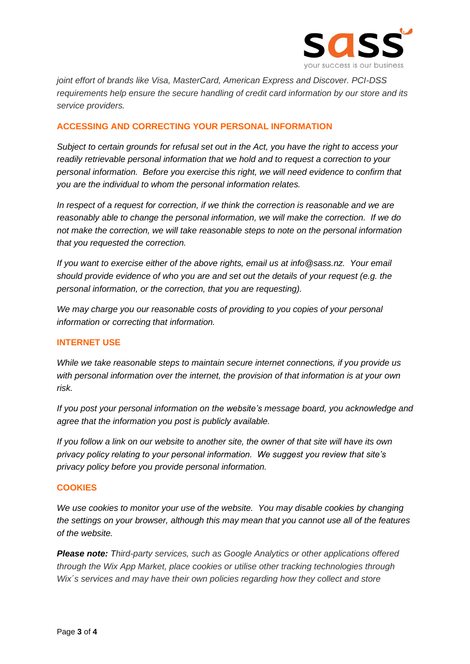

*joint effort of brands like Visa, MasterCard, American Express and Discover. PCI-DSS requirements help ensure the secure handling of credit card information by our store and its service providers.*

## **ACCESSING AND CORRECTING YOUR PERSONAL INFORMATION**

*Subject to certain grounds for refusal set out in the Act, you have the right to access your readily retrievable personal information that we hold and to request a correction to your personal information. Before you exercise this right, we will need evidence to confirm that you are the individual to whom the personal information relates.*

*In respect of a request for correction, if we think the correction is reasonable and we are reasonably able to change the personal information, we will make the correction. If we do not make the correction, we will take reasonable steps to note on the personal information that you requested the correction.*

*If you want to exercise either of the above rights, email us at info@sass.nz. Your email should provide evidence of who you are and set out the details of your request (e.g. the personal information, or the correction, that you are requesting).*

*We may charge you our reasonable costs of providing to you copies of your personal information or correcting that information.*

### **INTERNET USE**

*While we take reasonable steps to maintain secure internet connections, if you provide us with personal information over the internet, the provision of that information is at your own risk.*

*If you post your personal information on the website's message board, you acknowledge and agree that the information you post is publicly available.*

*If you follow a link on our website to another site, the owner of that site will have its own privacy policy relating to your personal information. We suggest you review that site's privacy policy before you provide personal information.*

### **COOKIES**

*We use cookies to monitor your use of the website. You may disable cookies by changing the settings on your browser, although this may mean that you cannot use all of the features of the website.* 

*Please note: Third-party services, such as Google Analytics or other applications offered through the Wix App Market, place cookies or utilise other tracking technologies through Wix´s services and may have their own policies regarding how they collect and store*